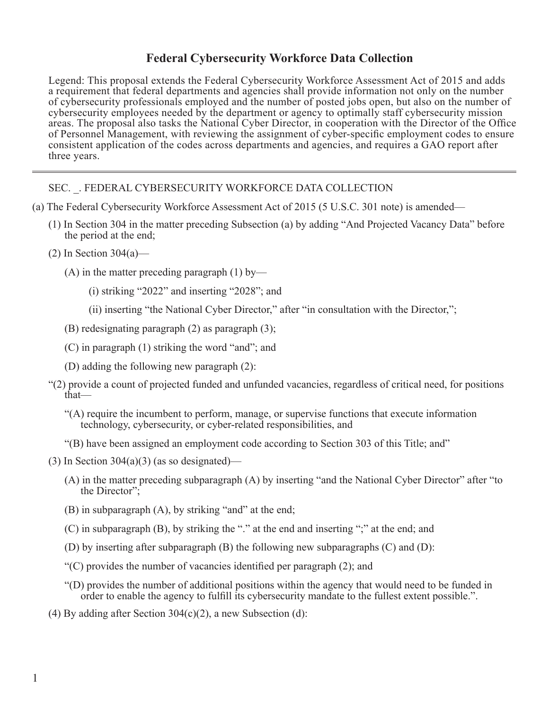## **Federal Cybersecurity Workforce Data Collection**

Legend: This proposal extends the Federal Cybersecurity Workforce Assessment Act of 2015 and adds a requirement that federal departments and agencies shall provide information not only on the number of cybersecurity professionals employed and the number of posted jobs open, but also on the number of cybersecurity employees needed by the department or agency to optimally staff cybersecurity mission areas. The proposal also tasks the National Cyber Director, in cooperation with the Director of the Office of Personnel Management, with reviewing the assignment of cyber-specific employment codes to ensure consistent application of the codes across departments and agencies, and requires a GAO report after three years.

SEC. \_. FEDERAL CYBERSECURITY WORKFORCE DATA COLLECTION

- (a) The Federal Cybersecurity Workforce Assessment Act of 2015 (5 U.S.C. 301 note) is amended—
	- (1) In Section 304 in the matter preceding Subsection (a) by adding "And Projected Vacancy Data" before the period at the end;
	- $(2)$  In Section 304 $(a)$ 
		- (A) in the matter preceding paragraph  $(1)$  by—
			- (i) striking "2022" and inserting "2028"; and
			- (ii) inserting "the National Cyber Director," after "in consultation with the Director,";
		- (B) redesignating paragraph (2) as paragraph (3);
		- (C) in paragraph (1) striking the word "and"; and
		- (D) adding the following new paragraph (2):
	- "(2) provide a count of projected funded and unfunded vacancies, regardless of critical need, for positions that—
		- "(A) require the incumbent to perform, manage, or supervise functions that execute information technology, cybersecurity, or cyber-related responsibilities, and
		- "(B) have been assigned an employment code according to Section 303 of this Title; and"
	- (3) In Section  $304(a)(3)$  (as so designated)—
		- (A) in the matter preceding subparagraph (A) by inserting "and the National Cyber Director" after "to the Director";
		- (B) in subparagraph (A), by striking "and" at the end;
		- (C) in subparagraph (B), by striking the "." at the end and inserting ";" at the end; and
		- (D) by inserting after subparagraph (B) the following new subparagraphs (C) and (D):
		- "(C) provides the number of vacancies identified per paragraph (2); and
		- "(D) provides the number of additional positions within the agency that would need to be funded in order to enable the agency to fulfill its cybersecurity mandate to the fullest extent possible.".
	- (4) By adding after Section  $304(c)(2)$ , a new Subsection (d):